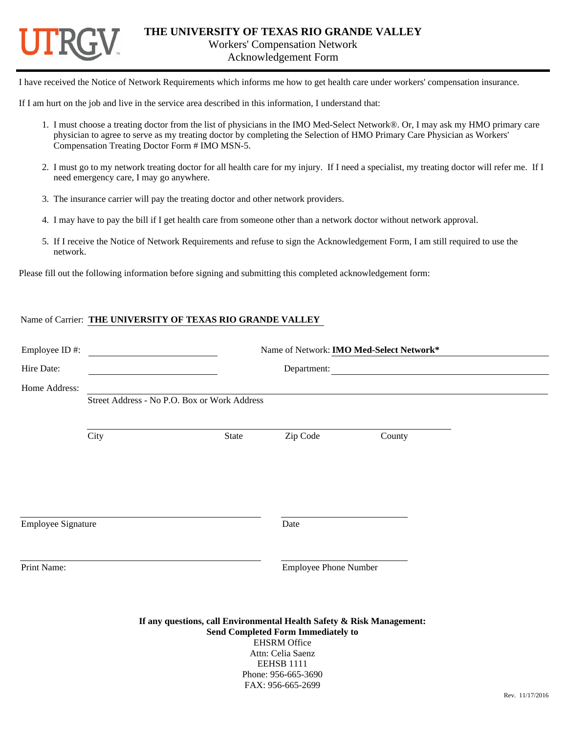

Acknowledgement Form

I have received the Notice of Network Requirements which informs me how to get health care under workers' compensation insurance.

If I am hurt on the job and live in the service area described in this information, I understand that:

- 1. I must choose a treating doctor from the list of physicians in the IMO Med-Select Network®. Or, I may ask my HMO primary care physician to agree to serve as my treating doctor by completing the Selection of HMO Primary Care Physician as Workers' Compensation Treating Doctor Form # IMO MSN-5.
- 2. I must go to my network treating doctor for all health care for my injury. If I need a specialist, my treating doctor will refer me. If I need emergency care, I may go anywhere.
- 3. The insurance carrier will pay the treating doctor and other network providers.
- 4. I may have to pay the bill if I get health care from someone other than a network doctor without network approval.
- 5. If I receive the Notice of Network Requirements and refuse to sign the Acknowledgement Form, I am still required to use the network.

Please fill out the following information before signing and submitting this completed acknowledgement form:

#### Name of Carrier: **THE UNIVERSITY OF TEXAS RIO GRANDE VALLEY**

| Employee ID#:             |       |                                              |                                                                                                           |                                                                                                                                                                                                                                                                                                                                                                                                                                        |  |
|---------------------------|-------|----------------------------------------------|-----------------------------------------------------------------------------------------------------------|----------------------------------------------------------------------------------------------------------------------------------------------------------------------------------------------------------------------------------------------------------------------------------------------------------------------------------------------------------------------------------------------------------------------------------------|--|
|                           |       | Department:                                  |                                                                                                           |                                                                                                                                                                                                                                                                                                                                                                                                                                        |  |
|                           |       |                                              |                                                                                                           |                                                                                                                                                                                                                                                                                                                                                                                                                                        |  |
|                           |       |                                              |                                                                                                           |                                                                                                                                                                                                                                                                                                                                                                                                                                        |  |
| City                      | State | Zip Code                                     | County                                                                                                    |                                                                                                                                                                                                                                                                                                                                                                                                                                        |  |
|                           |       |                                              |                                                                                                           |                                                                                                                                                                                                                                                                                                                                                                                                                                        |  |
| <b>Employee Signature</b> |       | Date                                         |                                                                                                           |                                                                                                                                                                                                                                                                                                                                                                                                                                        |  |
|                           |       |                                              |                                                                                                           |                                                                                                                                                                                                                                                                                                                                                                                                                                        |  |
|                           |       |                                              |                                                                                                           | $P_{\text{PV}}$ 11/17/2016                                                                                                                                                                                                                                                                                                                                                                                                             |  |
|                           |       | Street Address - No P.O. Box or Work Address | <b>EHSRM</b> Office<br>Attn: Celia Saenz<br><b>EEHSB 1111</b><br>Phone: 956-665-3690<br>FAX: 956-665-2699 | Name of Network: IMO Med-Select Network*<br><u>and the state of the state of the state of the state of the state of the state of the state of the state of the state of the state of the state of the state of the state of the state of the state of the state of the state</u><br><b>Employee Phone Number</b><br>If any questions, call Environmental Health Safety & Risk Management:<br><b>Send Completed Form Immediately to</b> |  |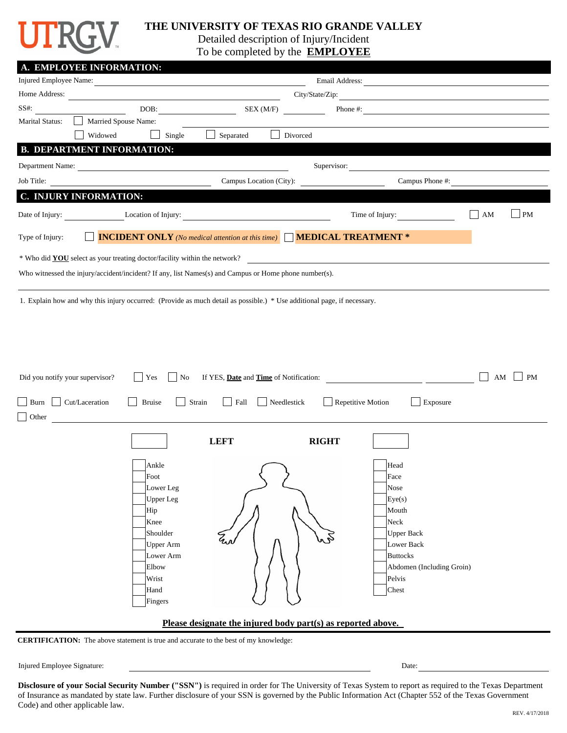

### **THE UNIVERSITY OF TEXAS RIO GRANDE VALLEY**

Detailed description of Injury/Incident

To be completed by the **EMPLOYEE**

| A. EMPLOYEE INFORMATION:                                                                                                                                         |                         |                                                                                     |                 |                                                                                                                          |    |           |
|------------------------------------------------------------------------------------------------------------------------------------------------------------------|-------------------------|-------------------------------------------------------------------------------------|-----------------|--------------------------------------------------------------------------------------------------------------------------|----|-----------|
| Injured Employee Name:<br>Email Address:<br><u> 1989 - Johann John Stein, markin film ar yn y brenin y brenin y brenin y brenin y brenin y brenin y brenin y</u> |                         |                                                                                     |                 |                                                                                                                          |    |           |
| Home Address:                                                                                                                                                    |                         |                                                                                     | City/State/Zip: |                                                                                                                          |    |           |
| $SS#$ :                                                                                                                                                          | DOB:                    | SEX(M/F)                                                                            |                 | Phone #:                                                                                                                 |    |           |
| <b>Marital Status:</b>                                                                                                                                           | Married Spouse Name:    |                                                                                     |                 |                                                                                                                          |    |           |
| Widowed                                                                                                                                                          | Single                  | Separated<br>$\blacksquare$                                                         | Divorced        |                                                                                                                          |    |           |
| <b>B. DEPARTMENT INFORMATION:</b>                                                                                                                                |                         |                                                                                     |                 |                                                                                                                          |    |           |
| Department Name:                                                                                                                                                 |                         |                                                                                     | Supervisor:     | <u> 1980 - John Stein, amerikansk politiker (</u>                                                                        |    |           |
| Job Title:                                                                                                                                                       |                         | Campus Location (City):                                                             |                 | Campus Phone #:                                                                                                          |    |           |
| C. INJURY INFORMATION:                                                                                                                                           |                         |                                                                                     |                 |                                                                                                                          |    |           |
| Date of Injury:                                                                                                                                                  | Location of Injury:     | and the company of the company of                                                   |                 | Time of Injury:                                                                                                          | AM | PM        |
| Type of Injury:                                                                                                                                                  |                         | <b>INCIDENT ONLY</b> (No medical attention at this time) <b>MEDICAL TREATMENT</b> * |                 |                                                                                                                          |    |           |
| * Who did <b>YOU</b> select as your treating doctor/facility within the network?                                                                                 |                         |                                                                                     |                 |                                                                                                                          |    |           |
| Who witnessed the injury/accident/incident? If any, list Names(s) and Campus or Home phone number(s).                                                            |                         |                                                                                     |                 |                                                                                                                          |    |           |
|                                                                                                                                                                  |                         |                                                                                     |                 |                                                                                                                          |    |           |
| 1. Explain how and why this injury occurred: (Provide as much detail as possible.) * Use additional page, if necessary.                                          |                         |                                                                                     |                 |                                                                                                                          |    |           |
|                                                                                                                                                                  |                         |                                                                                     |                 |                                                                                                                          |    |           |
|                                                                                                                                                                  |                         |                                                                                     |                 |                                                                                                                          |    |           |
|                                                                                                                                                                  |                         |                                                                                     |                 |                                                                                                                          |    |           |
|                                                                                                                                                                  |                         |                                                                                     |                 |                                                                                                                          |    |           |
|                                                                                                                                                                  |                         |                                                                                     |                 |                                                                                                                          |    |           |
| Did you notify your supervisor?                                                                                                                                  | Yes<br>No               | If YES, Date and Time of Notification:                                              |                 | <u> 1990 - Johann Barbara, politik eta politik eta politik eta politik eta politik eta politik eta politik eta p</u> oli | AM | <b>PM</b> |
| Cut/Laceration<br>Burn                                                                                                                                           | <b>Bruise</b><br>Strain | Needlestick<br>Fall<br>$\mathbf{I}$                                                 |                 | Repetitive Motion<br>Exposure                                                                                            |    |           |
| $\vert$ Other                                                                                                                                                    |                         |                                                                                     |                 |                                                                                                                          |    |           |
|                                                                                                                                                                  |                         |                                                                                     |                 |                                                                                                                          |    |           |
|                                                                                                                                                                  |                         | <b>LEFT</b>                                                                         | <b>RIGHT</b>    |                                                                                                                          |    |           |
|                                                                                                                                                                  |                         |                                                                                     |                 |                                                                                                                          |    |           |
|                                                                                                                                                                  | Ankle<br>Foot           |                                                                                     |                 | Head<br>Face                                                                                                             |    |           |
|                                                                                                                                                                  | Lower Leg               |                                                                                     |                 | Nose                                                                                                                     |    |           |
|                                                                                                                                                                  | Upper Leg               |                                                                                     |                 | Eye(s)                                                                                                                   |    |           |
|                                                                                                                                                                  | Hip                     |                                                                                     |                 | Mouth                                                                                                                    |    |           |
|                                                                                                                                                                  | Knee                    |                                                                                     |                 | Neck                                                                                                                     |    |           |
|                                                                                                                                                                  | Shoulder                |                                                                                     |                 | <b>Upper Back</b>                                                                                                        |    |           |
|                                                                                                                                                                  | Upper Arm               |                                                                                     |                 | Lower Back                                                                                                               |    |           |
|                                                                                                                                                                  | Lower Arm<br>Elbow      |                                                                                     |                 | <b>Buttocks</b><br>Abdomen (Including Groin)                                                                             |    |           |
|                                                                                                                                                                  | Wrist                   |                                                                                     |                 | Pelvis                                                                                                                   |    |           |
|                                                                                                                                                                  | Hand                    |                                                                                     |                 | Chest                                                                                                                    |    |           |
|                                                                                                                                                                  | Fingers                 |                                                                                     |                 |                                                                                                                          |    |           |
| Please designate the injured body part(s) as reported above.                                                                                                     |                         |                                                                                     |                 |                                                                                                                          |    |           |
|                                                                                                                                                                  |                         |                                                                                     |                 |                                                                                                                          |    |           |

**CERTIFICATION:** The above statement is true and accurate to the best of my knowledge:

Injured Employee Signature: Date:

**Disclosure of your Social Security Number ("SSN")** is required in order for The University of Texas System to report as required to the Texas Department of Insurance as mandated by state law. Further disclosure of your SSN is governed by the Public Information Act (Chapter 552 of the Texas Government Code) and other applicable law.